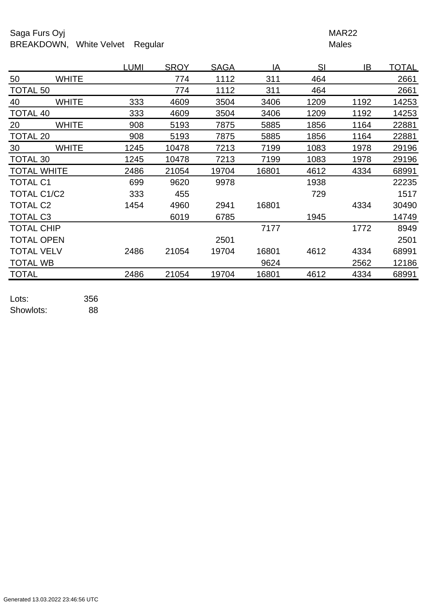## Saga Furs Oyj **MAR22** BREAKDOWN, White Velvet Regular Males

|                    |              | <b>LUMI</b> | <b>SROY</b> | <b>SAGA</b> | IA    | SI   | IB   | <b>TOTAL</b> |
|--------------------|--------------|-------------|-------------|-------------|-------|------|------|--------------|
| 50                 | <b>WHITE</b> |             | 774         | 1112        | 311   | 464  |      | 2661         |
| <b>TOTAL 50</b>    |              |             | 774         | 1112        | 311   | 464  |      | 2661         |
| 40                 | <b>WHITE</b> | 333         | 4609        | 3504        | 3406  | 1209 | 1192 | 14253        |
| <b>TOTAL 40</b>    |              | 333         | 4609        | 3504        | 3406  | 1209 | 1192 | 14253        |
| 20                 | <b>WHITE</b> | 908         | 5193        | 7875        | 5885  | 1856 | 1164 | 22881        |
| <b>TOTAL 20</b>    |              | 908         | 5193        | 7875        | 5885  | 1856 | 1164 | 22881        |
| 30                 | <b>WHITE</b> | 1245        | 10478       | 7213        | 7199  | 1083 | 1978 | 29196        |
| TOTAL 30           |              | 1245        | 10478       | 7213        | 7199  | 1083 | 1978 | 29196        |
| <b>TOTAL WHITE</b> |              | 2486        | 21054       | 19704       | 16801 | 4612 | 4334 | 68991        |
| <b>TOTAL C1</b>    |              | 699         | 9620        | 9978        |       | 1938 |      | 22235        |
| TOTAL C1/C2        |              | 333         | 455         |             |       | 729  |      | 1517         |
| <b>TOTAL C2</b>    |              | 1454        | 4960        | 2941        | 16801 |      | 4334 | 30490        |
| <b>TOTAL C3</b>    |              |             | 6019        | 6785        |       | 1945 |      | 14749        |
| <b>TOTAL CHIP</b>  |              |             |             |             | 7177  |      | 1772 | 8949         |
| <b>TOTAL OPEN</b>  |              |             |             | 2501        |       |      |      | 2501         |
| <b>TOTAL VELV</b>  |              | 2486        | 21054       | 19704       | 16801 | 4612 | 4334 | 68991        |
| <b>TOTAL WB</b>    |              |             |             |             | 9624  |      | 2562 | 12186        |
| <b>TOTAL</b>       |              | 2486        | 21054       | 19704       | 16801 | 4612 | 4334 | 68991        |
|                    |              |             |             |             |       |      |      |              |

Lots: 356 Showlots: 88